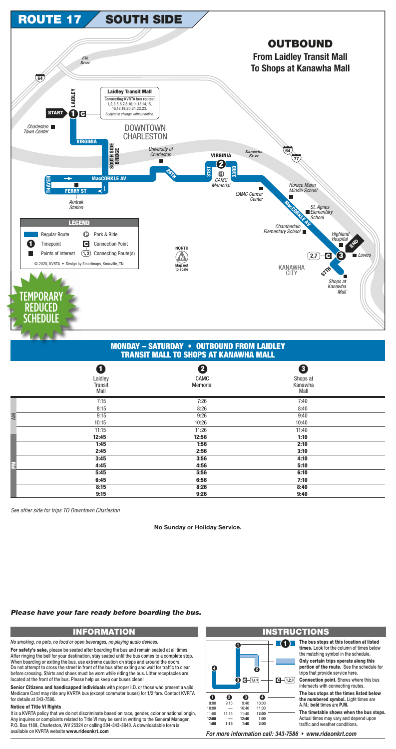**1** The bus stops at this location at listed **times.** Look for the column of times below the matching symbol in the schedule.

See other side for trips TO Downtown Charleston

|           | O<br>Laidley<br>Transit<br>Mall | 2<br>CAMC<br>Memorial | 8<br>Shops at<br>Kanawha<br>Mall |  |
|-----------|---------------------------------|-----------------------|----------------------------------|--|
|           | 7:15                            | 7:26                  | 7:40                             |  |
|           | 8:15                            | 8:26                  | 8:40                             |  |
| <b>AM</b> | 9:15                            | 9:26                  | 9:40                             |  |
|           | 10:15                           | 10:26                 | 10:40                            |  |
|           | 11:15                           | 11:26                 | 11:40                            |  |
|           | 12:45                           | 12:56                 | 1:10                             |  |
|           | 1:45                            | 1:56                  | 2:10                             |  |
|           | 2:45                            | 2:56                  | 3:10                             |  |
|           | 3:45                            | 3:56                  | 4:10                             |  |
| 톱         | 4:45                            | 4:56                  | 5:10                             |  |
|           | 5:45                            | 5:56                  | 6:10                             |  |
|           | 6:45                            | 6:56                  | 7:10                             |  |
|           | 8:15                            | 8:26                  | 8:40                             |  |
|           | 9:15                            | 9:26                  | 9:40                             |  |

# **INFORMATION INSTRUCTIONS**

It is a KVRTA policy that we do not discriminate based on race, gender, color or national origin. Any inquires or complaints related to Title VI may be sent in writing to the General Manager, P.O. Box 1188, Charleston, WV 25324 or calling 304-343-3840. A downloadable form is available on KVRTA website www.rideonkrt.com

**Only certain trips operate along this portion of the route.** See the schedule for trips that provide service here.

**Connection point.** Shows where this bus intersects with connecting routes.

**The bus stops at the times listed below the numbered symbol.** Light times are A.M.; **bold** times are **P.M.**

**The timetable shows when the bus stops.** Actual times may vary and depend upon traffic and weather conditions.

For more information call: 343-7586 · www.rideonkrt.com

#### **1 4 2**  $\bullet$   $\bullet$   $(1,2,3)$  $\bigodot - (1,2,3)$ **1 2 3 4** 9:00 9:15 9:40 10:00 10:00 — 10:40 11:00 11:00 11:15 11:40 **12:00 12:00 12:40 — 1:00 1:15 1:40 2:00 1:00**

*No smoking, no pets, no food or open beverages, no playing audio devices.*



## **MONDAY – SATURDAY • OUTBOUND FROM LAIDLEY TRANSIT MALL TO SHOPS AT KANAWHA MALL**

**For safety's sake,** please be seated after boarding the bus and remain seated at all times. After ringing the bell for your destination, stay seated until the bus comes to a complete stop. When boarding or exiting the bus, use extreme caution on steps and around the doors. Do not attempt to cross the street in front of the bus after exiting and wait for traffic to clear before crossing. Shirts and shoes must be worn while riding the bus. Litter receptacles are located at the front of the bus. Please help us keep our buses clean!

**Senior Citizens and handicapped individuals** with proper I.D. or those who present a valid Medicare Card may ride any KVRTA bus (except commuter buses) for 1/2 fare. Contact KVRTA for details at 343-7586.

### **Notice of Title VI Rights**

## *Please have your fare ready before boarding the bus.*